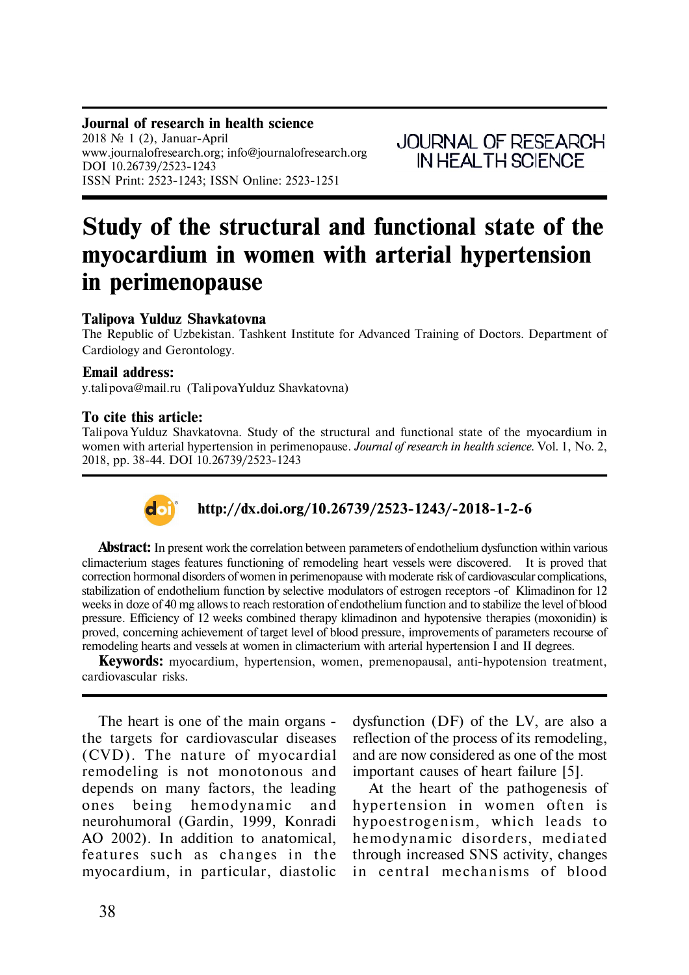**Journal of research in health science** 2018  $\mathcal{N}$  1 (2), Januar-April www.journalofresearch.org; info@journalofresearch.org DOI 10.26739/2523-1243 ISSN Print: 2523-1243; ISSN Online: 2523-1251

**JOURNAL OF RESEARCH** IN HEALTH SCIENCE

# **Study of the structural and functional state of the myocardium in women with arterial hypertension in perimenopause**

### **Talipova Yulduz Shavkatovna**

The Republic of Uzbekistan. Tashkent Institute for Advanced Training of Doctors. Department of Cardiology and Gerontology.

#### **Email address:**

y.talipova@mail.ru (Talipova Yulduz Shavkatovna)

#### **To cite this article:**

Talipova Yulduz Shavkatovna. Study of the structural and functional state of the myocardium in women with arterial hypertension in perimenopause. *Journal of research in health science.* Vol. 1, No. 2, 2018, pp. 38-44. DOI 10.26739/2523-1243



## **http://dx.doi.org/10.26739/2523-1243/-2018-1-2-6**

**Abstract:** In present work the correlation between parameters of endothelium dysfunction within various climacterium stages features functioning of remodeling heart vessels were discovered. It is proved that correction hormonal disorders of women in perimenopause with moderate risk of cardiovascular complications, stabilization of endothelium function by selective modulators of estrogen receptors -of Klimadinon for 12 weeks in doze of 40 mg allows to reach restoration of endothelium function and to stabilize the level of blood pressure. Efficiency of 12 weeks combined therapy klimadinon and hypotensive therapies (moxonidin) is proved, concerning achievement of target level of blood pressure, improvements of parameters recourse of remodeling hearts and vessels at women in climacterium with arterial hypertension I and II degrees.

**Keywords:** myocardium, hypertension, women, premenopausal, anti-hypotension treatment, cardiovascular risks.

The heart is one of the main organs the targets for cardiovascular diseases (CVD). The nature of myocardial remodeling is not monotonous and depends on many factors, the leading ones being hemodynamic and neurohumoral (Gardin, 1999, Konradi AO 2002). In addition to anatomical, features such as changes in the myocardium, in particular, diastolic

dysfunction (DF) of the LV, are also a reflection of the process of its remodeling, and are now considered as one of the most important causes of heart failure [5].

At the heart of the pathogenesis of hypertension in women often is hypoestrogenism, which leads to hemodynamic disorders, mediated through increased SNS activity, changes in central mechanisms of blood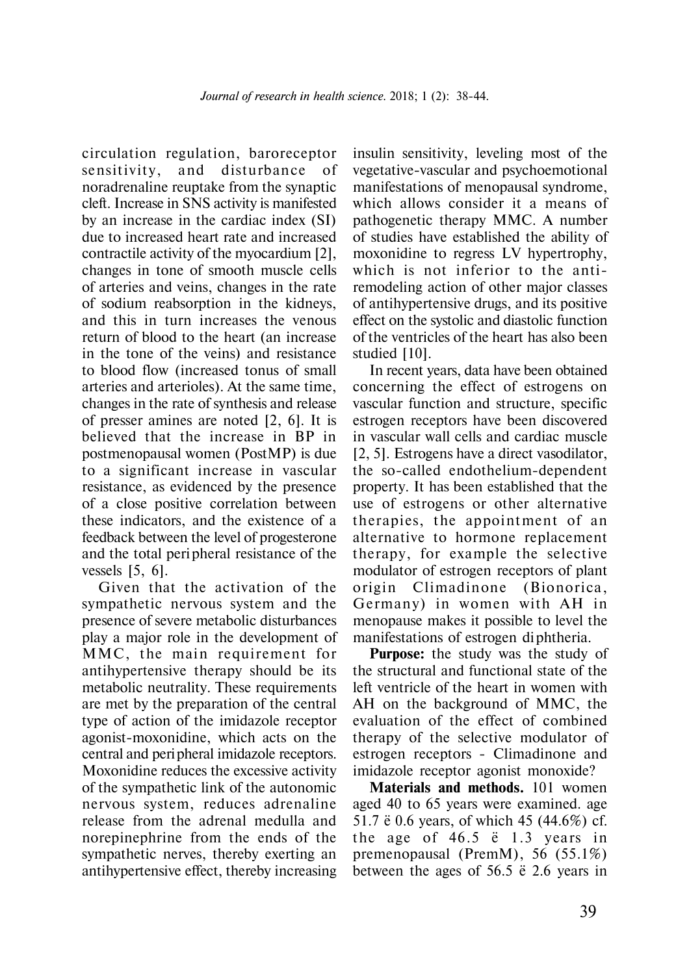circulation regulation, baroreceptor sensitivity, and disturbance of noradrenaline reuptake from the synaptic cleft. Increase in SNS activity is manifested by an increase in the cardiac index (SI) due to increased heart rate and increased contractile activity of the myocardium [2], changes in tone of smooth muscle cells of arteries and veins, changes in the rate of sodium reabsorption in the kidneys, and this in turn increases the venous return of blood to the heart (an increase in the tone of the veins) and resistance to blood flow (increased tonus of small arteries and arterioles). At the same time, changes in the rate of synthesis and release of presser amines are noted [2, 6]. It is believed that the increase in BP in postmenopausal women (PostMP) is due to a significant increase in vascular resistance, as evidenced by the presence of a close positive correlation between these indicators, and the existence of a feedback between the level of progesterone and the total peri pheral resistance of the vessels [5, 6].

Given that the activation of the sympathetic nervous system and the presence of severe metabolic disturbances play a major role in the development of MMC, the main requirement for antihypertensive therapy should be its metabolic neutrality. These requirements are met by the preparation of the central type of action of the imidazole receptor agonist-moxonidine, which acts on the central and peripheral imidazole receptors. Moxonidine reduces the excessive activity of the sympathetic link of the autonomic nervous system, reduces adrenaline release from the adrenal medulla and norepinephrine from the ends of the sympathetic nerves, thereby exerting an antihypertensive effect, thereby increasing

insulin sensitivity, leveling most of the vegetative-vascular and psychoemotional manifestations of menopausal syndrome, which allows consider it a means of pathogenetic therapy MMC. A number of studies have established the ability of moxonidine to regress LV hypertrophy, which is not inferior to the antiremodeling action of other major classes of antihypertensive drugs, and its positive effect on the systolic and diastolic function of the ventricles of the heart has also been studied [10].

In recent years, data have been obtained concerning the effect of estrogens on vascular function and structure, specific estrogen receptors have been discovered in vascular wall cells and cardiac muscle [2, 5]. Estrogens have a direct vasodilator, the so-called endothelium-dependent property. It has been established that the use of estrogens or other alternative therapies, the appointment of an alternative to hormone replacement therapy, for example the selective modulator of estrogen receptors of plant origin Climadinone (Bionorica, Germany) in women with AH in menopause makes it possible to level the manifestations of estrogen di phtheria.

**Purpose:** the study was the study of the structural and functional state of the left ventricle of the heart in women with AH on the background of MMC, the evaluation of the effect of combined therapy of the selective modulator of estrogen receptors - Climadinone and imidazole receptor agonist monoxide?

**Materials and methods.** 101 women aged 40 to 65 years were examined. age 51.7 ± 0.6 years, of which 45 (44.6%) cf. the age of  $46.5 \text{ } \text{e}$  1.3 years in premenopausal (PremM), 56 (55.1%) between the ages of  $56.5 \div 2.6$  years in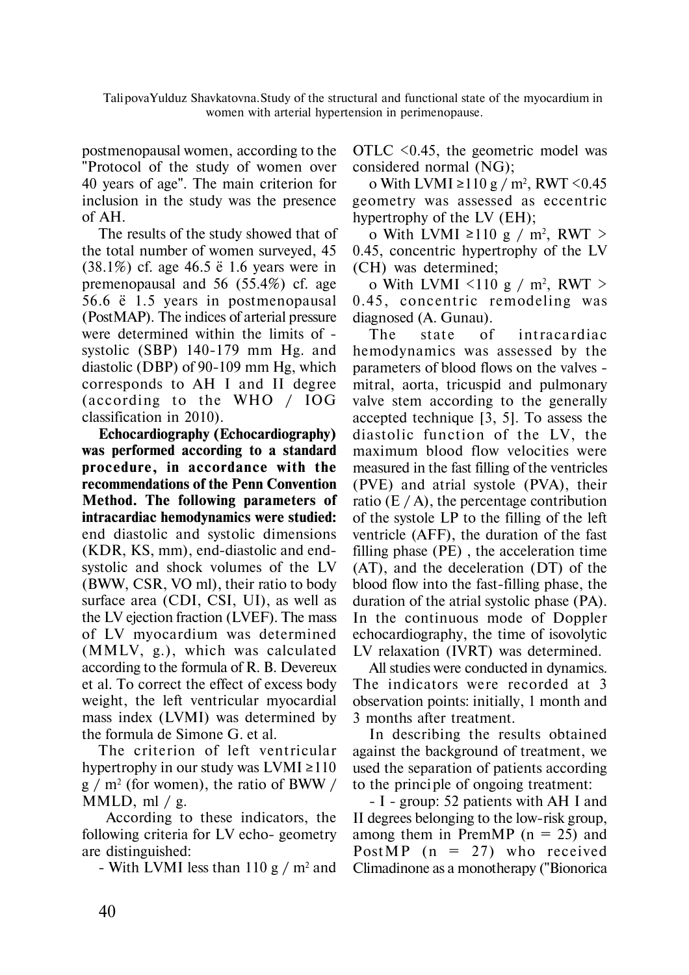Talipova Yulduz Shavkatovna. Study of the structural and functional state of the myocardium in women with arterial hypertension in perimenopause.

postmenopausal women, according to the "Protocol of the study of women over 40 years of age". The main criterion for inclusion in the study was the presence of AH.

The results of the study showed that of the total number of women surveyed, 45 (38.1%) cf. age 46.5 ± 1.6 years were in premenopausal and 56 (55.4%) cf. age 56.6 ± 1.5 years in postmenopausal (PostMAP). The indices of arterial pressure were determined within the limits of systolic (SBP) 140-179 mm Hg. and diastolic (DBP) of 90-109 mm Hg, which corresponds to AH I and II degree (according to the WHO / IOG classification in 2010).

**Echocardiography (Echocardiography) was performed according to a standard procedure , in accordance with the recommendations of the Penn Convention Method. The following parameters of intracardiac hemodynamics were studied:** end diastolic and systolic dimensions (KDR, KS, mm), end-diastolic and endsystolic and shock volumes of the LV (BWW, CSR, VO ml), their ratio to body surface area (CDI, CSI, UI), as well as the LV ejection fraction (LVEF). The mass of LV myocardium was determined (MMLV, g.), which was calculated according to the formula of R. B. Devereux et al. To correct the effect of excess body weight, the left ventricular myocardial mass index (LVMI) was determined by the formula de Simone G. et al.

The criterion of left ventricular hypertrophy in our study was  $LVMI \ge 110$  $g / m<sup>2</sup>$  (for women), the ratio of BWW / MMLD, ml  $/$  g.

 According to these indicators, the following criteria for LV echo- geometry are distinguished:

- With LVMI less than  $110 \text{ g} / \text{m}^2$  and

OTLC <0.45, the geometric model was considered normal (NG);

o With LVMI ≥110 g / m<sup>2</sup>, RWT <0.45 geometry was assessed as eccentric hypertrophy of the LV (EH);

o With LVMI ≥110 g / m<sup>2</sup>, RWT > 0.45, concentric hypertrophy of the LV (CH) was determined;

o With LVMI  $\leq$ 110 g / m<sup>2</sup>, RWT  $>$ 0.45, concentric remodeling was diagnosed (A. Gunau).

The state of intracardiac hemodynamics was assessed by the parameters of blood flows on the valves mitral, aorta, tricuspid and pulmonary valve stem according to the generally accepted technique [3, 5]. To assess the diastolic function of the LV, the maximum blood flow velocities were measured in the fast filling of the ventricles (PVE) and atrial systole (PVA), their ratio (E  $/A$ ), the percentage contribution of the systole LP to the filling of the left ventricle (AFF), the duration of the fast filling phase (PE) , the acceleration time (AT), and the deceleration (DT) of the blood flow into the fast-filling phase, the duration of the atrial systolic phase (PA). In the continuous mode of Doppler echocardiography, the time of isovolytic LV relaxation (IVRT) was determined.

All studies were conducted in dynamics. The indicators were recorded at 3 observation points: initially, 1 month and 3 months after treatment.

In describing the results obtained against the background of treatment, we used the separation of patients according to the princi ple of ongoing treatment:

- I - group: 52 patients with AH I and II degrees belonging to the low-risk group, among them in PremMP ( $n = 25$ ) and PostMP ( $n = 27$ ) who received Climadinone as a monotherapy ("Bionorica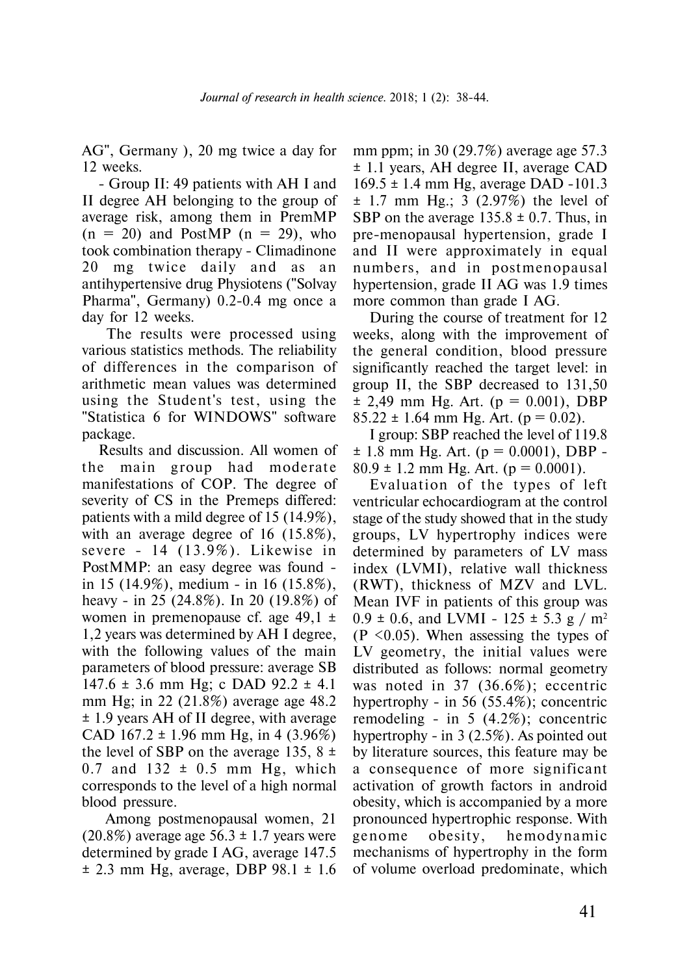AG", Germany ), 20 mg twice a day for 12 weeks.

- Group II: 49 patients with AH I and II degree AH belonging to the group of average risk, among them in PremMP  $(n = 20)$  and PostMP  $(n = 29)$ , who took combination therapy - Climadinone 20 mg twice daily and as an antihypertensive drug Physiotens ("Solvay Pharma", Germany) 0.2-0.4 mg once a day for 12 weeks.

 The results were processed using various statistics methods. The reliability of differences in the comparison of arithmetic mean values was determined using the Student's test, using the "Statistica 6 for WINDOWS" software package.

Results and discussion. All women of the main group had moderate manifestations of COP. The degree of severity of CS in the Premeps differed: patients with a mild degree of 15 (14.9%), with an average degree of 16 (15.8%), severe -  $14$   $(13.9\%)$ . Likewise in PostMMP: an easy degree was found in 15 (14.9%), medium - in 16 (15.8%), heavy - in 25 (24.8%). In 20 (19.8%) of women in premenopause cf. age 49,1  $\pm$ 1,2 years was determined by AH I degree, with the following values of the main parameters of blood pressure: average SB  $147.6 \pm 3.6$  mm Hg; c DAD  $92.2 \pm 4.1$ mm Hg; in 22 (21.8%) average age 48.2 ± 1.9 years AH of II degree, with average CAD  $167.2 \pm 1.96$  mm Hg, in 4 (3.96%) the level of SBP on the average 135,  $8 \pm$  $0.7$  and  $132 \pm 0.5$  mm Hg, which corresponds to the level of a high normal blood pressure.

 Among postmenopausal women, 21  $(20.8\%)$  average age 56.3  $\pm$  1.7 years were determined by grade I AG, average 147.5  $\pm$  2.3 mm Hg, average, DBP 98.1  $\pm$  1.6

mm ppm; in 30 (29.7%) average age 57.3 ± 1.1 years, AH degree II, average CAD 169.5 ± 1.4 mm Hg, average DAD -101.3  $\pm$  1.7 mm Hg.; 3 (2.97%) the level of SBP on the average  $135.8 \pm 0.7$ . Thus, in pre-menopausal hypertension, grade I and II were approximately in equal numbers, and in postmenopausal hypertension, grade II AG was 1.9 times more common than grade I AG.

During the course of treatment for 12 weeks, along with the improvement of the general condition, blood pressure significantly reached the target level: in group II, the SBP decreased to 131,50  $\pm$  2,49 mm Hg. Art. (p = 0.001), DBP  $85.22 \pm 1.64$  mm Hg. Art. (p = 0.02).

I group: SBP reached the level of 119.8  $\pm$  1.8 mm Hg. Art. (p = 0.0001), DBP - $80.9 \pm 1.2$  mm Hg. Art. ( $p = 0.0001$ ).

Evaluation of the types of left ventricular echocardiogram at the control stage of the study showed that in the study groups, LV hypertrophy indices were determined by parameters of LV mass index (LVMI), relative wall thickness (RWT), thickness of MZV and LVL. Mean IVF in patients of this group was  $0.9 \pm 0.6$ , and LVMI - 125  $\pm$  5.3 g / m<sup>2</sup>  $(P \leq 0.05)$ . When assessing the types of LV geometry, the initial values were distributed as follows: normal geometry was noted in 37 (36.6%); eccentric hypertrophy - in 56 (55.4%); concentric remodeling - in 5 (4.2%); concentric hypertrophy - in 3 (2.5%). As pointed out by literature sources, this feature may be a consequence of more significant activation of growth factors in android obesity, which is accompanied by a more pronounced hypertrophic response. With genome obesity, hemodynamic mechanisms of hypertrophy in the form of volume overload predominate, which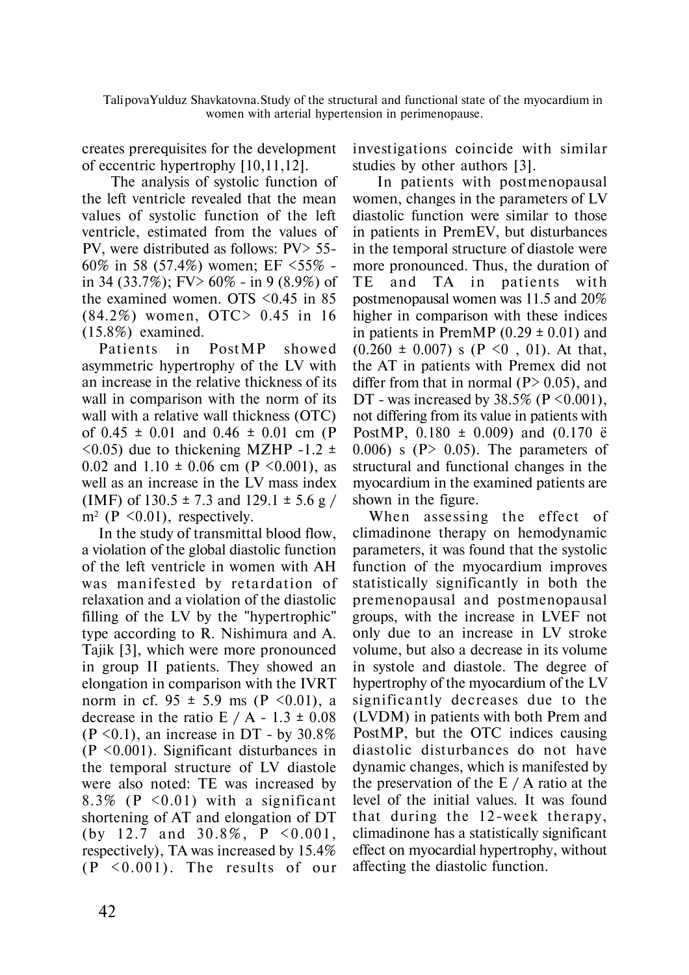Talipova Yulduz Shavkatovna. Study of the structural and functional state of the myocardium in women with arterial hypertension in perimenopause.

creates prerequisites for the development of eccentric hypertrophy [10,11,12].

 The analysis of systolic function of the left ventricle revealed that the mean values of systolic function of the left ventricle, estimated from the values of PV, were distributed as follows: PV> 55- 60% in 58 (57.4%) women; EF <55% in 34 (33.7%); FV> 60% - in 9 (8.9%) of the examined women. OTS <0.45 in 85 (84.2%) women, OTC> 0.45 in 16 (15.8%) examined.

Patients in PostMP showed asymmetric hypertrophy of the LV with an increase in the relative thickness of its wall in comparison with the norm of its wall with a relative wall thickness (OTC) of  $0.45 \pm 0.01$  and  $0.46 \pm 0.01$  cm (P)  $\leq$ 0.05) due to thickening MZHP -1.2  $\pm$ 0.02 and 1.10  $\pm$  0.06 cm (P < 0.001), as well as an increase in the LV mass index (IMF) of  $130.5 \pm 7.3$  and  $129.1 \pm 5.6$  g /  $m^2$  (P < 0.01), respectively.

In the study of transmittal blood flow, a violation of the global diastolic function of the left ventricle in women with AH was manifested by retardation of relaxation and a violation of the diastolic filling of the LV by the "hypertrophic" type according to R. Nishimura and A. Tajik [3], which were more pronounced in group II patients. They showed an elongation in comparison with the IVRT norm in cf.  $95 \pm 5.9$  ms (P <0.01), a decrease in the ratio E  $/ A - 1.3 \pm 0.08$  $(P \le 0.1)$ , an increase in DT - by 30.8% (P <0.001). Significant disturbances in the temporal structure of LV diastole were also noted: TE was increased by 8.3% ( $P \leq 0.01$ ) with a significant shortening of AT and elongation of DT (by 12.7 and 30.8%,  $P < 0.001$ , respectively), TA was increased by 15.4%  $(P \leq 0.001)$ . The results of our

investigations coincide with similar studies by other authors [3].

 In patients with postmenopausal women, changes in the parameters of LV diastolic function were similar to those in patients in PremEV, but disturbances in the temporal structure of diastole were more pronounced. Thus, the duration of TE and TA in patients with postmenopausal women was 11.5 and 20% higher in comparison with these indices in patients in PremMP  $(0.29 \pm 0.01)$  and  $(0.260 \pm 0.007)$  s  $(P \le 0, 01)$ . At that, the AT in patients with Premex did not differ from that in normal ( $P > 0.05$ ), and DT - was increased by  $38.5\%$  (P < 0.001), not differing from its value in patients with PostMP,  $0.180 \pm 0.009$ ) and  $(0.170 \text{ eV})$ 0.006) s ( $P > 0.05$ ). The parameters of structural and functional changes in the myocardium in the examined patients are shown in the figure.

When assessing the effect of climadinone therapy on hemodynamic parameters, it was found that the systolic function of the myocardium improves statistically significantly in both the premenopausal and postmenopausal groups, with the increase in LVEF not only due to an increase in LV stroke volume, but also a decrease in its volume in systole and diastole. The degree of hypertrophy of the myocardium of the LV significantly decreases due to the (LVDM) in patients with both Prem and PostMP, but the OTC indices causing diastolic disturbances do not have dynamic changes, which is manifested by the preservation of the  $E / A$  ratio at the level of the initial values. It was found that during the 12-week therapy, climadinone has a statistically significant effect on myocardial hypertrophy, without affecting the diastolic function.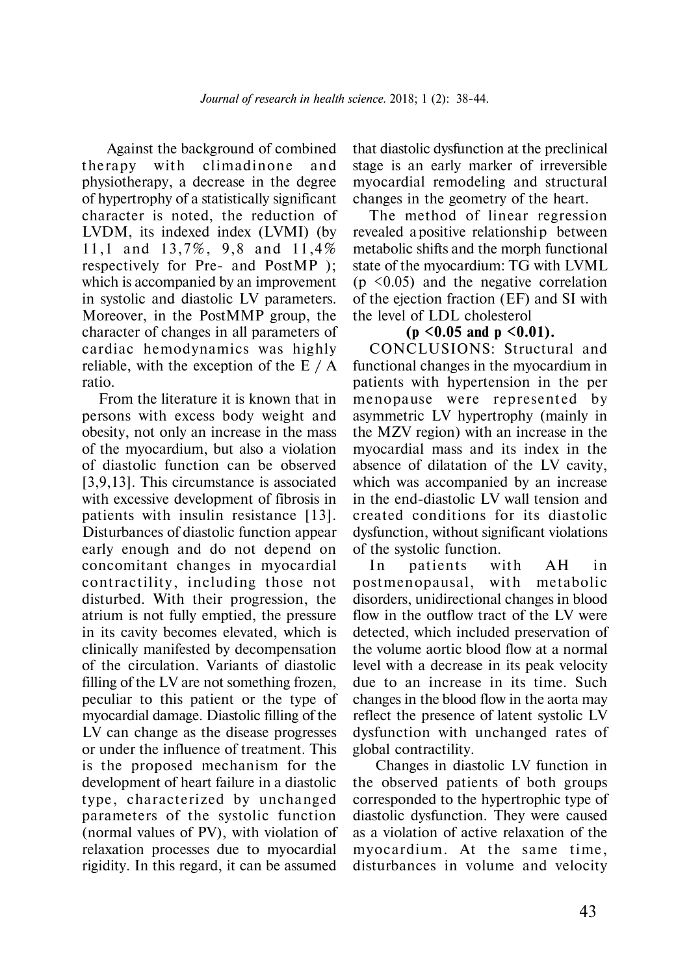Against the background of combined therapy with climadinone and physiotherapy, a decrease in the degree of hypertrophy of a statistically significant character is noted, the reduction of LVDM, its indexed index (LVMI) (by 11.1 and 13.7%, 9.8 and 11.4% respectively for Pre- and PostMP ); which is accompanied by an improvement in systolic and diastolic LV parameters. Moreover, in the PostMMP group, the character of changes in all parameters of cardiac hemodynamics was highly reliable, with the exception of the E / A ratio.

From the literature it is known that in persons with excess body weight and obesity, not only an increase in the mass of the myocardium, but also a violation of diastolic function can be observed [3,9,13]. This circumstance is associated with excessive development of fibrosis in patients with insulin resistance [13]. Disturbances of diastolic function appear early enough and do not depend on concomitant changes in myocardial contractility, including those not disturbed. With their progression, the atrium is not fully emptied, the pressure in its cavity becomes elevated, which is clinically manifested by decompensation of the circulation. Variants of diastolic filling of the LV are not something frozen, peculiar to this patient or the type of myocardial damage. Diastolic filling of the LV can change as the disease progresses or under the influence of treatment. This is the proposed mechanism for the development of heart failure in a diastolic type, characterized by unchanged parameters of the systolic function (normal values of PV), with violation of relaxation processes due to myocardial rigidity. In this regard, it can be assumed

that diastolic dysfunction at the preclinical stage is an early marker of irreversible myocardial remodeling and structural changes in the geometry of the heart.

The method of linear regression revealed a positive relationship between metabolic shifts and the morph functional state of the myocardium: TG with LVML  $(p \leq 0.05)$  and the negative correlation of the ejection fraction (EF) and SI with the level of LDL cholesterol

#### **(p <0.05 and p <0.01).**

CONCLUSIONS: Structural and functional changes in the myocardium in patients with hypertension in the per menopause were represented by asymmetric LV hypertrophy (mainly in the MZV region) with an increase in the myocardial mass and its index in the absence of dilatation of the LV cavity, which was accompanied by an increase in the end-diastolic LV wall tension and created conditions for its diastolic dysfunction, without significant violations of the systolic function.

In patients with AH in postmenopausal, with metabolic disorders, unidirectional changes in blood flow in the outflow tract of the LV were detected, which included preservation of the volume aortic blood flow at a normal level with a decrease in its peak velocity due to an increase in its time. Such changes in the blood flow in the aorta may reflect the presence of latent systolic LV dysfunction with unchanged rates of global contractility.

 Changes in diastolic LV function in the observed patients of both groups corresponded to the hypertrophic type of diastolic dysfunction. They were caused as a violation of active relaxation of the myocardium. At the same time, disturbances in volume and velocity